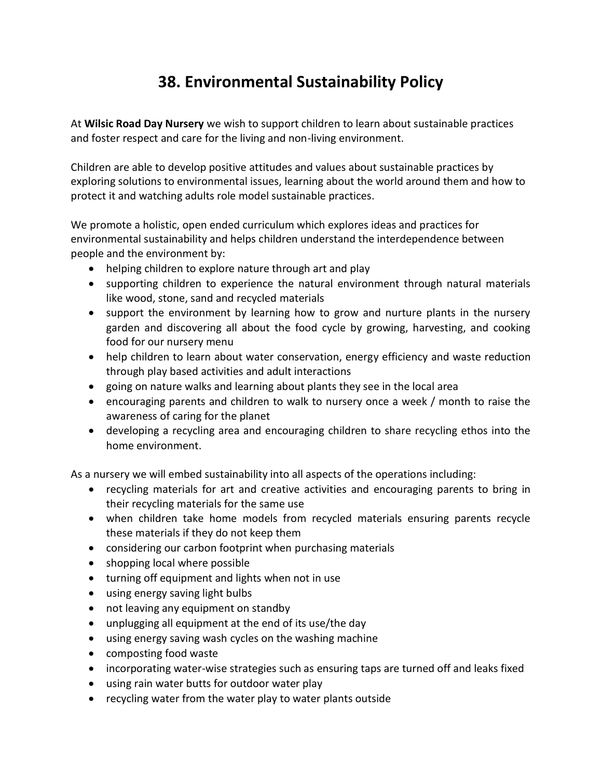## **38. Environmental Sustainability Policy**

At **Wilsic Road Day Nursery** we wish to support children to learn about sustainable practices and foster respect and care for the living and non-living environment.

Children are able to develop positive attitudes and values about sustainable practices by exploring solutions to environmental issues, learning about the world around them and how to protect it and watching adults role model sustainable practices.

We promote a holistic, open ended curriculum which explores ideas and practices for environmental sustainability and helps children understand the interdependence between people and the environment by:

- helping children to explore nature through art and play
- supporting children to experience the natural environment through natural materials like wood, stone, sand and recycled materials
- support the environment by learning how to grow and nurture plants in the nursery garden and discovering all about the food cycle by growing, harvesting, and cooking food for our nursery menu
- help children to learn about water conservation, energy efficiency and waste reduction through play based activities and adult interactions
- going on nature walks and learning about plants they see in the local area
- encouraging parents and children to walk to nursery once a week / month to raise the awareness of caring for the planet
- developing a recycling area and encouraging children to share recycling ethos into the home environment.

As a nursery we will embed sustainability into all aspects of the operations including:

- recycling materials for art and creative activities and encouraging parents to bring in their recycling materials for the same use
- when children take home models from recycled materials ensuring parents recycle these materials if they do not keep them
- considering our carbon footprint when purchasing materials
- shopping local where possible
- turning off equipment and lights when not in use
- using energy saving light bulbs
- not leaving any equipment on standby
- unplugging all equipment at the end of its use/the day
- using energy saving wash cycles on the washing machine
- composting food waste
- incorporating water-wise strategies such as ensuring taps are turned off and leaks fixed
- using rain water butts for outdoor water play
- recycling water from the water play to water plants outside